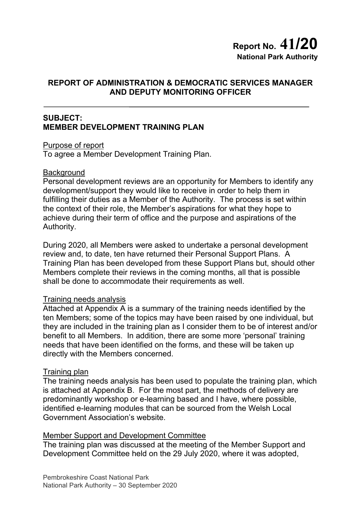# **Report No. 41/20 National Park Authority**

### **REPORT OF ADMINISTRATION & DEMOCRATIC SERVICES MANAGER AND DEPUTY MONITORING OFFICER**

### **SUBJECT: MEMBER DEVELOPMENT TRAINING PLAN**

Purpose of report

To agree a Member Development Training Plan.

#### **Background**

Personal development reviews are an opportunity for Members to identify any development/support they would like to receive in order to help them in fulfilling their duties as a Member of the Authority. The process is set within the context of their role, the Member's aspirations for what they hope to achieve during their term of office and the purpose and aspirations of the Authority.

During 2020, all Members were asked to undertake a personal development review and, to date, ten have returned their Personal Support Plans. A Training Plan has been developed from these Support Plans but, should other Members complete their reviews in the coming months, all that is possible shall be done to accommodate their requirements as well.

#### Training needs analysis

Attached at Appendix A is a summary of the training needs identified by the ten Members; some of the topics may have been raised by one individual, but they are included in the training plan as I consider them to be of interest and/or benefit to all Members. In addition, there are some more 'personal' training needs that have been identified on the forms, and these will be taken up directly with the Members concerned.

#### Training plan

The training needs analysis has been used to populate the training plan, which is attached at Appendix B. For the most part, the methods of delivery are predominantly workshop or e-learning based and I have, where possible, identified e-learning modules that can be sourced from the Welsh Local Government Association's website.

#### Member Support and Development Committee

The training plan was discussed at the meeting of the Member Support and Development Committee held on the 29 July 2020, where it was adopted,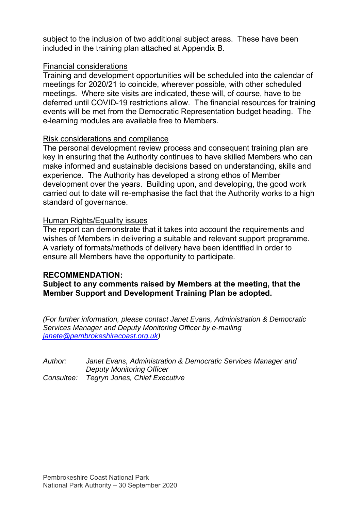subject to the inclusion of two additional subject areas. These have been included in the training plan attached at Appendix B.

#### Financial considerations

Training and development opportunities will be scheduled into the calendar of meetings for 2020/21 to coincide, wherever possible, with other scheduled meetings. Where site visits are indicated, these will, of course, have to be deferred until COVID-19 restrictions allow. The financial resources for training events will be met from the Democratic Representation budget heading. The e-learning modules are available free to Members.

#### Risk considerations and compliance

The personal development review process and consequent training plan are key in ensuring that the Authority continues to have skilled Members who can make informed and sustainable decisions based on understanding, skills and experience. The Authority has developed a strong ethos of Member development over the years. Building upon, and developing, the good work carried out to date will re-emphasise the fact that the Authority works to a high standard of governance.

### Human Rights/Equality issues

The report can demonstrate that it takes into account the requirements and wishes of Members in delivering a suitable and relevant support programme. A variety of formats/methods of delivery have been identified in order to ensure all Members have the opportunity to participate.

#### **RECOMMENDATION:**

**Subject to any comments raised by Members at the meeting, that the Member Support and Development Training Plan be adopted.** 

*(For further information, please contact Janet Evans, Administration & Democratic Services Manager and Deputy Monitoring Officer by e-mailing janete@pembrokeshirecoast.org.uk)* 

| Author: | Janet Evans, Administration & Democratic Services Manager and |
|---------|---------------------------------------------------------------|
|         | <b>Deputy Monitoring Officer</b>                              |
|         | Consultee: Tegryn Jones, Chief Executive                      |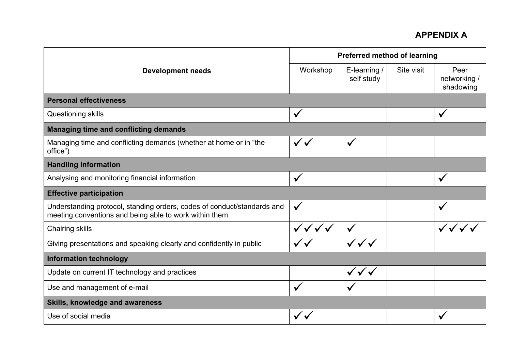|                                                                                                                                   | <b>Preferred method of learning</b> |                                  |            |                                   |
|-----------------------------------------------------------------------------------------------------------------------------------|-------------------------------------|----------------------------------|------------|-----------------------------------|
| <b>Development needs</b>                                                                                                          | Workshop                            | E-learning /<br>self study       | Site visit | Peer<br>networking /<br>shadowing |
| <b>Personal effectiveness</b>                                                                                                     |                                     |                                  |            |                                   |
| Questioning skills                                                                                                                | $\checkmark$                        |                                  |            | $\checkmark$                      |
| <b>Managing time and conflicting demands</b>                                                                                      |                                     |                                  |            |                                   |
| Managing time and conflicting demands (whether at home or in "the<br>office")                                                     | $\checkmark$                        | $\checkmark$                     |            |                                   |
| <b>Handling information</b>                                                                                                       |                                     |                                  |            |                                   |
| Analysing and monitoring financial information                                                                                    | $\checkmark$                        |                                  |            | $\checkmark$                      |
| <b>Effective participation</b>                                                                                                    |                                     |                                  |            |                                   |
| Understanding protocol, standing orders, codes of conduct/standards and<br>meeting conventions and being able to work within them | $\checkmark$                        |                                  |            |                                   |
| <b>Chairing skills</b>                                                                                                            | $\checkmark\checkmark\checkmark$    |                                  |            |                                   |
| Giving presentations and speaking clearly and confidently in public                                                               |                                     |                                  |            |                                   |
| <b>Information technology</b>                                                                                                     |                                     |                                  |            |                                   |
| Update on current IT technology and practices                                                                                     |                                     | $\checkmark\checkmark\checkmark$ |            |                                   |
| Use and management of e-mail                                                                                                      | $\checkmark$                        |                                  |            |                                   |
| <b>Skills, knowledge and awareness</b>                                                                                            |                                     |                                  |            |                                   |
| Use of social media                                                                                                               |                                     |                                  |            |                                   |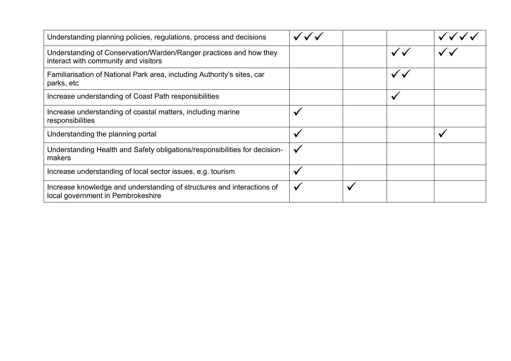| Understanding planning policies, regulations, process and decisions                                         |              |  |  |
|-------------------------------------------------------------------------------------------------------------|--------------|--|--|
| Understanding of Conservation/Warden/Ranger practices and how they<br>interact with community and visitors  |              |  |  |
| Familiarisation of National Park area, including Authority's sites, car<br>parks, etc                       |              |  |  |
| Increase understanding of Coast Path responsibilities                                                       |              |  |  |
| Increase understanding of coastal matters, including marine<br>responsibilities                             | $\checkmark$ |  |  |
| Understanding the planning portal                                                                           | $\checkmark$ |  |  |
| Understanding Health and Safety obligations/responsibilities for decision-<br>makers                        | $\checkmark$ |  |  |
| Increase understanding of local sector issues, e.g. tourism                                                 | $\checkmark$ |  |  |
| Increase knowledge and understanding of structures and interactions of<br>local government in Pembrokeshire |              |  |  |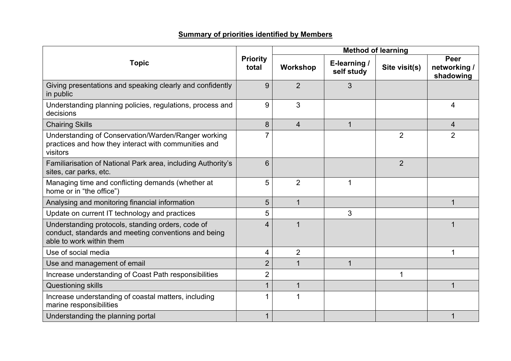### **Summary of priorities identified by Members**

|                                                                                                                                       |                          | <b>Method of learning</b> |                            |                |                                   |
|---------------------------------------------------------------------------------------------------------------------------------------|--------------------------|---------------------------|----------------------------|----------------|-----------------------------------|
| <b>Topic</b>                                                                                                                          | <b>Priority</b><br>total | <b>Workshop</b>           | E-learning /<br>self study | Site visit(s)  | Peer<br>networking /<br>shadowing |
| Giving presentations and speaking clearly and confidently<br>in public                                                                | 9                        | $\overline{2}$            | 3                          |                |                                   |
| Understanding planning policies, regulations, process and<br>decisions                                                                | 9                        | 3                         |                            |                | 4                                 |
| <b>Chairing Skills</b>                                                                                                                | 8                        | $\overline{4}$            |                            |                | 4                                 |
| Understanding of Conservation/Warden/Ranger working<br>practices and how they interact with communities and<br>visitors               | 7                        |                           |                            | $\overline{2}$ | $\overline{2}$                    |
| Familiarisation of National Park area, including Authority's<br>sites, car parks, etc.                                                | $6\phantom{1}6$          |                           |                            | $\overline{2}$ |                                   |
| Managing time and conflicting demands (whether at<br>home or in "the office")                                                         | 5                        | $\overline{2}$            | 1                          |                |                                   |
| Analysing and monitoring financial information                                                                                        | 5                        | 1                         |                            |                | 1                                 |
| Update on current IT technology and practices                                                                                         | 5                        |                           | 3                          |                |                                   |
| Understanding protocols, standing orders, code of<br>conduct, standards and meeting conventions and being<br>able to work within them | 4                        |                           |                            |                |                                   |
| Use of social media                                                                                                                   | 4                        | $\overline{2}$            |                            |                | 1                                 |
| Use and management of email                                                                                                           | $\overline{2}$           |                           | 1                          |                |                                   |
| Increase understanding of Coast Path responsibilities                                                                                 | $\overline{2}$           |                           |                            | 1              |                                   |
| Questioning skills                                                                                                                    | 1                        |                           |                            |                |                                   |
| Increase understanding of coastal matters, including<br>marine responsibilities                                                       | 1                        |                           |                            |                |                                   |
| Understanding the planning portal                                                                                                     | 1                        |                           |                            |                |                                   |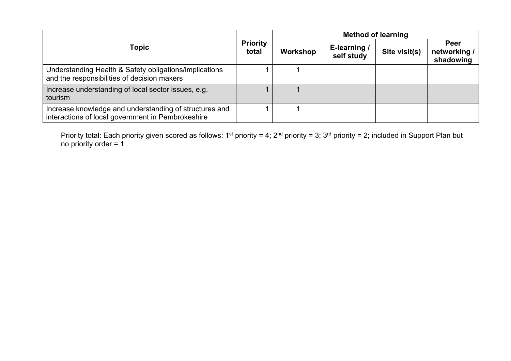| <b>Topic</b>                                                                                                |  | <b>Method of learning</b> |                            |               |                                          |
|-------------------------------------------------------------------------------------------------------------|--|---------------------------|----------------------------|---------------|------------------------------------------|
|                                                                                                             |  | Workshop                  | E-learning /<br>self study | Site visit(s) | <b>Peer</b><br>networking /<br>shadowing |
| Understanding Health & Safety obligations/implications<br>and the responsibilities of decision makers       |  |                           |                            |               |                                          |
| Increase understanding of local sector issues, e.g.<br>tourism                                              |  |                           |                            |               |                                          |
| Increase knowledge and understanding of structures and<br>interactions of local government in Pembrokeshire |  |                           |                            |               |                                          |

Priority total: Each priority given scored as follows: 1<sup>st</sup> priority = 4; 2<sup>nd</sup> priority = 3; 3<sup>rd</sup> priority = 2; included in Support Plan but no priority order = 1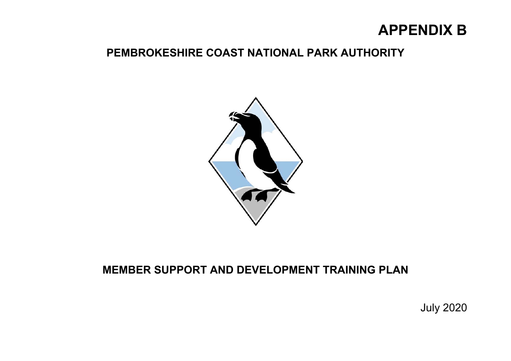# **APPENDIX B**

## **PEMBROKESHIRE COAST NATIONAL PARK AUTHORITY**



# **MEMBER SUPPORT AND DEVELOPMENT TRAINING PLAN**

July 2020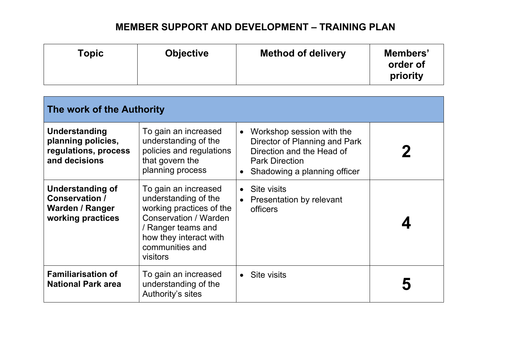| Topic | <b>Objective</b> | <b>Method of delivery</b> | Members'<br>order of<br>priority |
|-------|------------------|---------------------------|----------------------------------|
|-------|------------------|---------------------------|----------------------------------|

| The work of the Authority                                                                       |                                                                                                                                                                                       |                                                                                                                                                  |  |  |  |  |
|-------------------------------------------------------------------------------------------------|---------------------------------------------------------------------------------------------------------------------------------------------------------------------------------------|--------------------------------------------------------------------------------------------------------------------------------------------------|--|--|--|--|
| Understanding<br>planning policies,<br>regulations, process<br>and decisions                    | To gain an increased<br>understanding of the<br>policies and regulations<br>that govern the<br>planning process                                                                       | Workshop session with the<br>Director of Planning and Park<br>Direction and the Head of<br><b>Park Direction</b><br>Shadowing a planning officer |  |  |  |  |
| <b>Understanding of</b><br><b>Conservation /</b><br><b>Warden / Ranger</b><br>working practices | To gain an increased<br>understanding of the<br>working practices of the<br><b>Conservation / Warden</b><br>Ranger teams and<br>how they interact with<br>communities and<br>visitors | Site visits<br>Presentation by relevant<br>officers                                                                                              |  |  |  |  |
| <b>Familiarisation of</b><br><b>National Park area</b>                                          | To gain an increased<br>understanding of the<br>Authority's sites                                                                                                                     | Site visits                                                                                                                                      |  |  |  |  |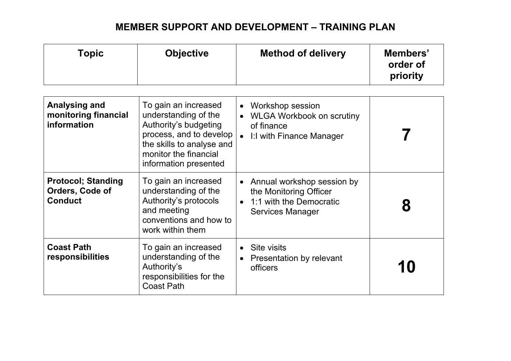| <b>Topic</b>                                                   | <b>Objective</b>                                                                                                                                                                | <b>Method of delivery</b>                                                                                   | Members'<br>order of<br>priority |
|----------------------------------------------------------------|---------------------------------------------------------------------------------------------------------------------------------------------------------------------------------|-------------------------------------------------------------------------------------------------------------|----------------------------------|
| <b>Analysing and</b><br>monitoring financial<br>information    | To gain an increased<br>understanding of the<br>Authority's budgeting<br>process, and to develop<br>the skills to analyse and<br>monitor the financial<br>information presented | Workshop session<br>$\bullet$<br><b>WLGA Workbook on scrutiny</b><br>of finance<br>I:I with Finance Manager |                                  |
| <b>Protocol; Standing</b><br>Orders, Code of<br><b>Conduct</b> | To gain an increased<br>understanding of the<br>Authority's protocols<br>and meeting<br>conventions and how to<br>work within them                                              | Annual workshop session by<br>the Monitoring Officer<br>1:1 with the Democratic<br><b>Services Manager</b>  | 8                                |
| <b>Coast Path</b><br>responsibilities                          | To gain an increased<br>understanding of the<br>Authority's<br>responsibilities for the<br><b>Coast Path</b>                                                                    | Site visits<br>$\bullet$<br>Presentation by relevant<br>officers                                            | 10                               |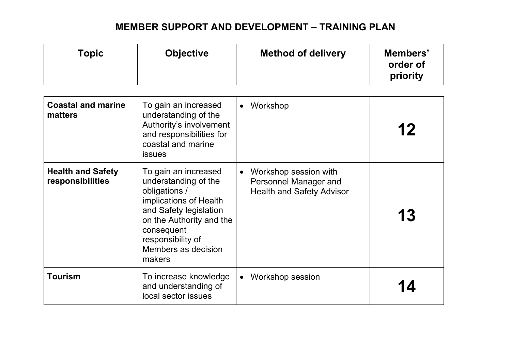| <b>Topic</b>                                 | <b>Objective</b>                                                                                                                                                                                                  | <b>Method of delivery</b>                                                                       | Members'<br>order of<br>priority |
|----------------------------------------------|-------------------------------------------------------------------------------------------------------------------------------------------------------------------------------------------------------------------|-------------------------------------------------------------------------------------------------|----------------------------------|
| <b>Coastal and marine</b><br>matters         | To gain an increased<br>understanding of the<br>Authority's involvement<br>and responsibilities for<br>coastal and marine<br>issues                                                                               | Workshop<br>$\bullet$                                                                           | 12                               |
| <b>Health and Safety</b><br>responsibilities | To gain an increased<br>understanding of the<br>obligations /<br>implications of Health<br>and Safety legislation<br>on the Authority and the<br>consequent<br>responsibility of<br>Members as decision<br>makers | Workshop session with<br>$\bullet$<br>Personnel Manager and<br><b>Health and Safety Advisor</b> | 13                               |
| Tourism                                      | To increase knowledge<br>and understanding of<br>local sector issues                                                                                                                                              | <b>Workshop session</b>                                                                         |                                  |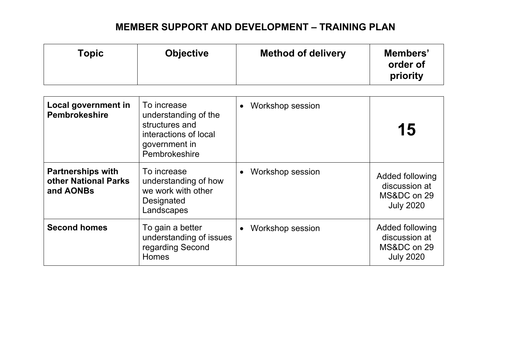| <b>Topic</b>                                                  | <b>Objective</b>                                                                                                 | <b>Method of delivery</b> | Members'<br>order of<br>priority                                    |
|---------------------------------------------------------------|------------------------------------------------------------------------------------------------------------------|---------------------------|---------------------------------------------------------------------|
| Local government in<br><b>Pembrokeshire</b>                   | To increase<br>understanding of the<br>structures and<br>interactions of local<br>government in<br>Pembrokeshire | Workshop session          | 15                                                                  |
| <b>Partnerships with</b><br>other National Parks<br>and AONBs | To increase<br>understanding of how<br>we work with other<br>Designated<br>Landscapes                            | Workshop session          | Added following<br>discussion at<br>MS&DC on 29<br><b>July 2020</b> |
| <b>Second homes</b>                                           | To gain a better<br>understanding of issues<br>regarding Second<br><b>Homes</b>                                  | Workshop session          | Added following<br>discussion at<br>MS&DC on 29<br><b>July 2020</b> |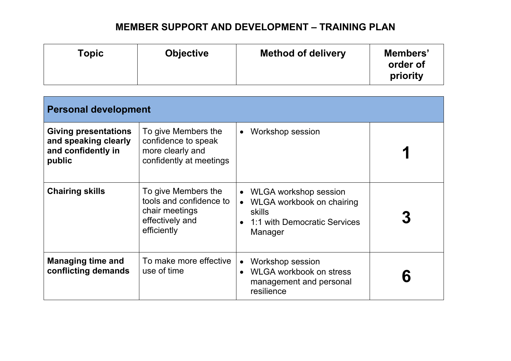| Topic | <b>Objective</b> | <b>Method of delivery</b> | Members'<br>order of<br>priority |
|-------|------------------|---------------------------|----------------------------------|
|-------|------------------|---------------------------|----------------------------------|

| <b>Personal development</b>                                                         |                                                                                                    |                                                                                                                 |  |  |  |
|-------------------------------------------------------------------------------------|----------------------------------------------------------------------------------------------------|-----------------------------------------------------------------------------------------------------------------|--|--|--|
| <b>Giving presentations</b><br>and speaking clearly<br>and confidently in<br>public | To give Members the<br>confidence to speak<br>more clearly and<br>confidently at meetings          | Workshop session                                                                                                |  |  |  |
| <b>Chairing skills</b>                                                              | To give Members the<br>tools and confidence to<br>chair meetings<br>effectively and<br>efficiently | <b>WLGA workshop session</b><br>WLGA workbook on chairing<br>skills<br>1:1 with Democratic Services<br>Manager  |  |  |  |
| <b>Managing time and</b><br>conflicting demands                                     | To make more effective<br>use of time                                                              | <b>Workshop session</b><br>$\bullet$<br><b>WLGA workbook on stress</b><br>management and personal<br>resilience |  |  |  |